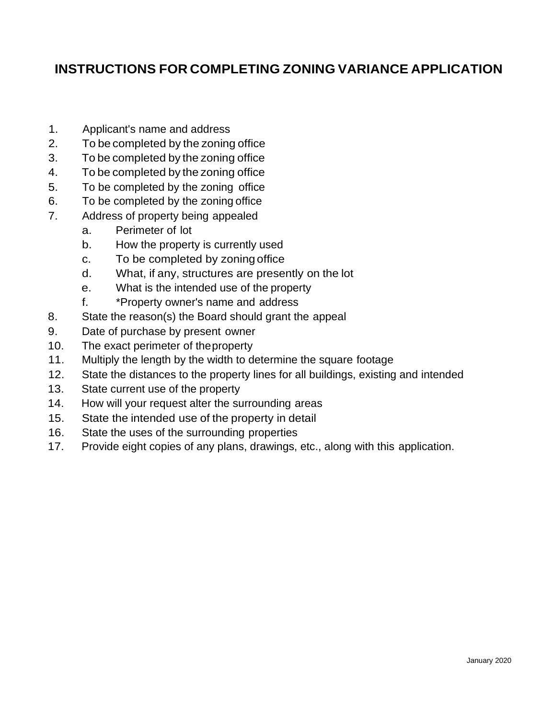## **INSTRUCTIONS FOR COMPLETING ZONING VARIANCE APPLICATION**

- 1. Applicant's name and address
- 2. To be completed by the zoning office
- 3. To be completed by the zoning office
- 4. To be completed by the zoning office
- 5. To be completed by the zoning office
- 6. To be completed by the zoning office
- 7. Address of property being appealed
	- a. Perimeter of lot
	- b. How the property is currently used
	- c. To be completed by zoning office
	- d. What, if any, structures are presently on the lot
	- e. What is the intended use of the property
	- f. \*Property owner's name and address
- 8. State the reason(s) the Board should grant the appeal
- 9. Date of purchase by present owner
- 10. The exact perimeter of theproperty
- 11. Multiply the length by the width to determine the square footage
- 12. State the distances to the property lines for all buildings, existing and intended
- 13. State current use of the property
- 14. How will your request alter the surrounding areas
- 15. State the intended use of the property in detail
- 16. State the uses of the surrounding properties
- 17. Provide eight copies of any plans, drawings, etc., along with this application.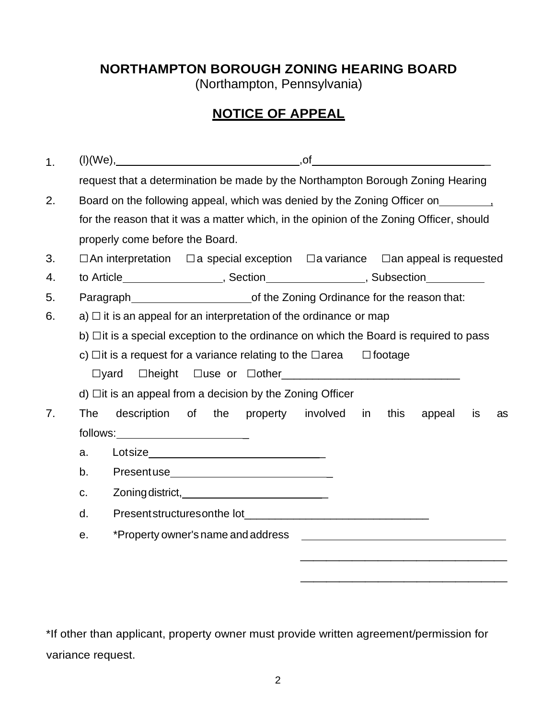## **NORTHAMPTON BOROUGH ZONING HEARING BOARD**

(Northampton, Pennsylvania)

## **NOTICE OF APPEAL**

| 1. |                                                                             |                                                                                                                                                                                                                                 |  |
|----|-----------------------------------------------------------------------------|---------------------------------------------------------------------------------------------------------------------------------------------------------------------------------------------------------------------------------|--|
|    |                                                                             | request that a determination be made by the Northampton Borough Zoning Hearing                                                                                                                                                  |  |
| 2. | Board on the following appeal, which was denied by the Zoning Officer on 1. |                                                                                                                                                                                                                                 |  |
|    |                                                                             | for the reason that it was a matter which, in the opinion of the Zoning Officer, should                                                                                                                                         |  |
|    |                                                                             | properly come before the Board.                                                                                                                                                                                                 |  |
| 3. |                                                                             | $\Box$ a special exception $\Box$ a variance $\Box$ an appeal is requested<br>$\Box$ An interpretation                                                                                                                          |  |
| 4. |                                                                             | to Article____________________, Section___________________, Subsection__________                                                                                                                                                |  |
| 5. |                                                                             |                                                                                                                                                                                                                                 |  |
| 6. |                                                                             | a) $\Box$ it is an appeal for an interpretation of the ordinance or map                                                                                                                                                         |  |
|    |                                                                             | b) $\Box$ it is a special exception to the ordinance on which the Board is required to pass                                                                                                                                     |  |
|    |                                                                             | c) $\Box$ it is a request for a variance relating to the $\Box$ area<br>$\Box$ footage                                                                                                                                          |  |
|    | $\Box$ yard                                                                 | $\Box$ height<br>$\Box$ use or $\Box$ other $\_\_\_\_\_\_\_\_\_\_$                                                                                                                                                              |  |
|    |                                                                             | $d)$ $\Box$ it is an appeal from a decision by the Zoning Officer                                                                                                                                                               |  |
| 7. | The                                                                         | involved<br>description<br><b>of</b><br>the<br>property<br>in<br>this<br>appeal<br>is<br>as                                                                                                                                     |  |
|    |                                                                             |                                                                                                                                                                                                                                 |  |
|    | a.                                                                          |                                                                                                                                                                                                                                 |  |
|    | b.                                                                          |                                                                                                                                                                                                                                 |  |
|    | C.                                                                          |                                                                                                                                                                                                                                 |  |
|    | d.                                                                          | Presentstructures on the lot<br>example and the contract of the contract of the contract of the contract of the contract of the contract of the contract of the contract of the contract of the contract of the contract of the |  |
|    | е.                                                                          | *Property owner's name and address<br><u> 1989 - Johann John Stein, markin fan it fjort fan de ferstjer fan it fjort fan de ferstjer fan de ferstjer f</u>                                                                      |  |
|    |                                                                             |                                                                                                                                                                                                                                 |  |
|    |                                                                             |                                                                                                                                                                                                                                 |  |

\*If other than applicant, property owner must provide written agreement/permission for variance request.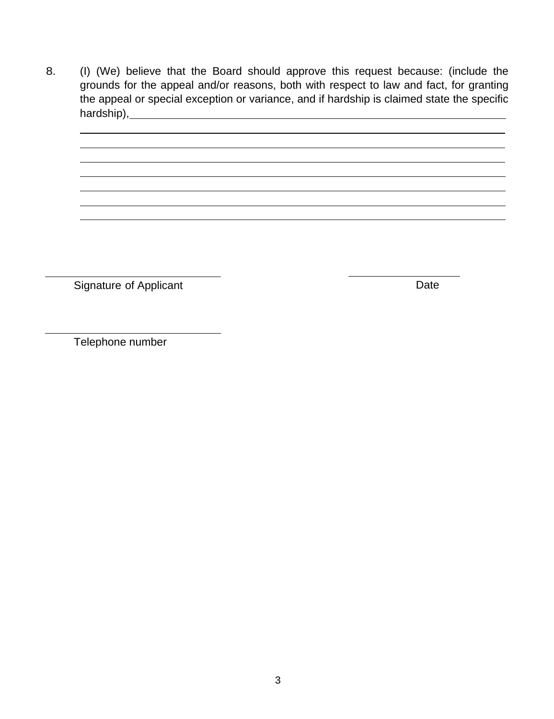8. (I) (We) believe that the Board should approve this request because: (include the grounds for the appeal and/or reasons, both with respect to law and fact, for granting the appeal or special exception or variance, and if hardship is claimed state the specific hardship),

Signature of Applicant **Date** 

Telephone number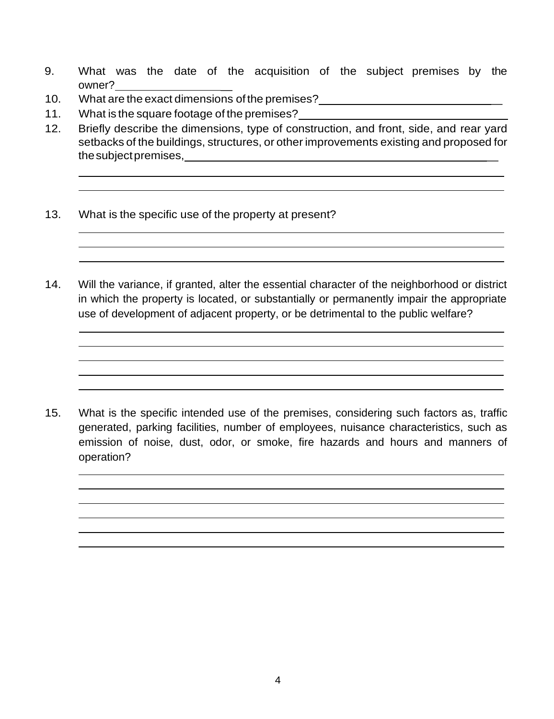- 9. What was the date of the acquisition of the subject premises by the owner? \_
- 10. What are the exact dimensions ofthe premises? \_
- 11. What is the square footage of the premises?
- 12. Briefly describe the dimensions, type of construction, and front, side, and rear yard setbacks of the buildings, structures, or other improvements existing and proposed for thesubjectpremises, \_
- 13. What is the specific use of the property at present?
- 14. Will the variance, if granted, alter the essential character of the neighborhood or district in which the property is located, or substantially or permanently impair the appropriate use of development of adjacent property, or be detrimental to the public welfare?

15. What is the specific intended use of the premises, considering such factors as, traffic generated, parking facilities, number of employees, nuisance characteristics, such as emission of noise, dust, odor, or smoke, fire hazards and hours and manners of operation?